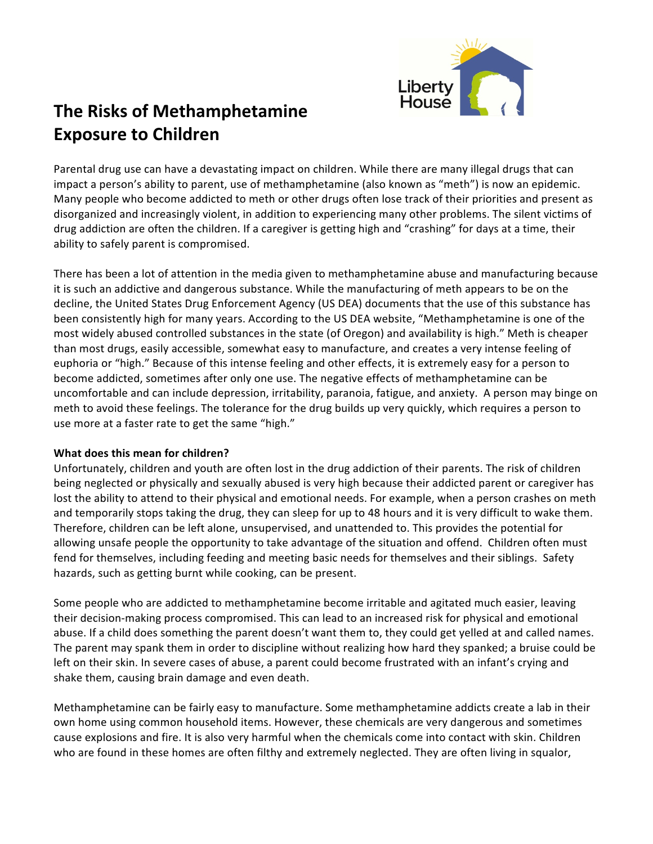

## **Exposure to Children**

Parental drug use can have a devastating impact on children. While there are many illegal drugs that can impact a person's ability to parent, use of methamphetamine (also known as "meth") is now an epidemic. Many people who become addicted to meth or other drugs often lose track of their priorities and present as disorganized and increasingly violent, in addition to experiencing many other problems. The silent victims of drug addiction are often the children. If a caregiver is getting high and "crashing" for days at a time, their ability to safely parent is compromised.

There has been a lot of attention in the media given to methamphetamine abuse and manufacturing because it is such an addictive and dangerous substance. While the manufacturing of meth appears to be on the decline, the United States Drug Enforcement Agency (US DEA) documents that the use of this substance has been consistently high for many years. According to the US DEA website, "Methamphetamine is one of the most widely abused controlled substances in the state (of Oregon) and availability is high." Meth is cheaper than most drugs, easily accessible, somewhat easy to manufacture, and creates a very intense feeling of euphoria or "high." Because of this intense feeling and other effects, it is extremely easy for a person to become addicted, sometimes after only one use. The negative effects of methamphetamine can be uncomfortable and can include depression, irritability, paranoia, fatigue, and anxiety. A person may binge on meth to avoid these feelings. The tolerance for the drug builds up very quickly, which requires a person to use more at a faster rate to get the same "high."

## **What does this mean for children?**

Unfortunately, children and youth are often lost in the drug addiction of their parents. The risk of children being neglected or physically and sexually abused is very high because their addicted parent or caregiver has lost the ability to attend to their physical and emotional needs. For example, when a person crashes on meth and temporarily stops taking the drug, they can sleep for up to 48 hours and it is very difficult to wake them. Therefore, children can be left alone, unsupervised, and unattended to. This provides the potential for allowing unsafe people the opportunity to take advantage of the situation and offend. Children often must fend for themselves, including feeding and meeting basic needs for themselves and their siblings. Safety hazards, such as getting burnt while cooking, can be present.

Some people who are addicted to methamphetamine become irritable and agitated much easier, leaving their decision-making process compromised. This can lead to an increased risk for physical and emotional abuse. If a child does something the parent doesn't want them to, they could get yelled at and called names. The parent may spank them in order to discipline without realizing how hard they spanked; a bruise could be left on their skin. In severe cases of abuse, a parent could become frustrated with an infant's crying and shake them, causing brain damage and even death.

Methamphetamine can be fairly easy to manufacture. Some methamphetamine addicts create a lab in their own home using common household items. However, these chemicals are very dangerous and sometimes cause explosions and fire. It is also very harmful when the chemicals come into contact with skin. Children who are found in these homes are often filthy and extremely neglected. They are often living in squalor,